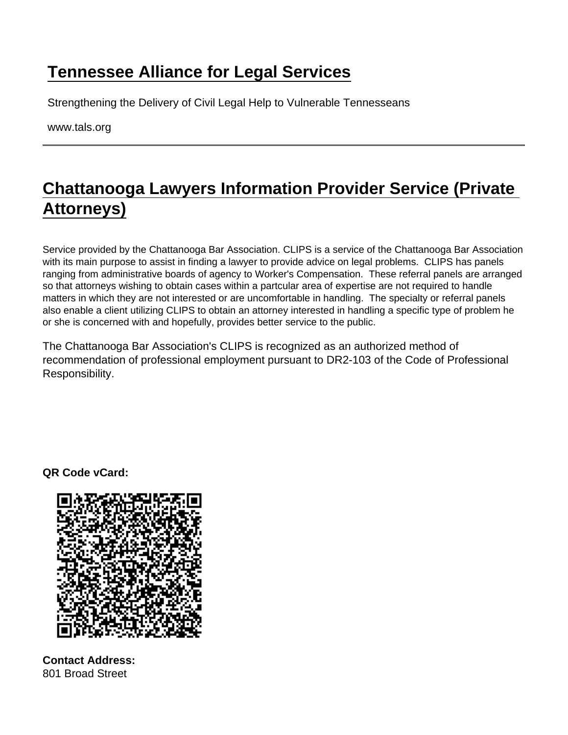## [Tennessee Alliance for Legal Services](https://www.tals.org/)

Strengthening the Delivery of Civil Legal Help to Vulnerable Tennesseans

www.tals.org

## [Chattanooga Lawyers Information Provider Service \(Private](https://www.tals.org/node/366/chattanooga-lawyers-information-provider-service-private-attorneys)  [Attorneys\)](https://www.tals.org/node/366/chattanooga-lawyers-information-provider-service-private-attorneys)

Service provided by the Chattanooga Bar Association. CLIPS is a service of the Chattanooga Bar Association with its main purpose to assist in finding a lawyer to provide advice on legal problems. CLIPS has panels ranging from administrative boards of agency to Worker's Compensation. These referral panels are arranged so that attorneys wishing to obtain cases within a partcular area of expertise are not required to handle matters in which they are not interested or are uncomfortable in handling. The specialty or referral panels also enable a client utilizing CLIPS to obtain an attorney interested in handling a specific type of problem he or she is concerned with and hopefully, provides better service to the public.

The Chattanooga Bar Association's CLIPS is recognized as an authorized method of recommendation of professional employment pursuant to DR2-103 of the Code of Professional Responsibility.

QR Code vCard:

Contact Address: 801 Broad Street